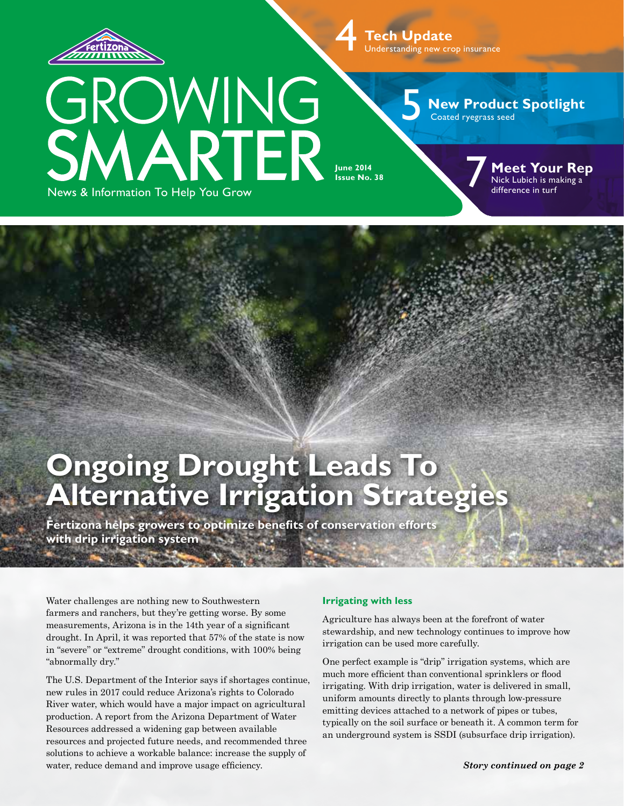

News & Information To Help You Grow

GROWING<br>SMARTER

4 **Tech Update** Understanding new crop insurance

5

**New Product Spotlight** Coated ryegrass seed

**June 2014 Issue No. 38** 

**Meet Your Rep** Neet Your Re<br>
Nick Lubich is making a<br>
difference in turf

# **Ongoing Drought Leads To Alternative Irrigation Strategies**

**Fertizona helps growers to optimize benefits of conservation efforts with drip irrigation system**

Water challenges are nothing new to Southwestern farmers and ranchers, but they're getting worse. By some measurements, Arizona is in the 14th year of a significant drought. In April, it was reported that 57% of the state is now in "severe" or "extreme" drought conditions, with 100% being "abnormally dry."

The U.S. Department of the Interior says if shortages continue, new rules in 2017 could reduce Arizona's rights to Colorado River water, which would have a major impact on agricultural production. A report from the Arizona Department of Water Resources addressed a widening gap between available resources and projected future needs, and recommended three solutions to achieve a workable balance: increase the supply of water, reduce demand and improve usage efficiency.

### **Irrigating with less**

Agriculture has always been at the forefront of water stewardship, and new technology continues to improve how irrigation can be used more carefully.

One perfect example is "drip" irrigation systems, which are much more efficient than conventional sprinklers or flood irrigating. With drip irrigation, water is delivered in small, uniform amounts directly to plants through low-pressure emitting devices attached to a network of pipes or tubes, typically on the soil surface or beneath it. A common term for an underground system is SSDI (subsurface drip irrigation).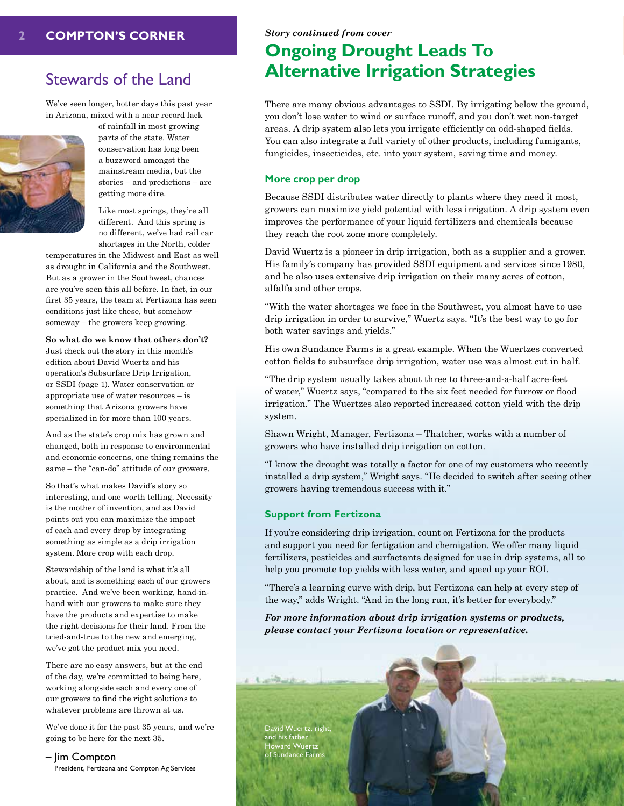### Stewards of the Land

We've seen longer, hotter days this past year in Arizona, mixed with a near record lack



of rainfall in most growing parts of the state. Water conservation has long been a buzzword amongst the mainstream media, but the stories – and predictions – are getting more dire.

Like most springs, they're all different. And this spring is no different, we've had rail car shortages in the North, colder

temperatures in the Midwest and East as well as drought in California and the Southwest. But as a grower in the Southwest, chances are you've seen this all before. In fact, in our first 35 years, the team at Fertizona has seen conditions just like these, but somehow – someway – the growers keep growing.

### **So what do we know that others don't?**

Just check out the story in this month's edition about David Wuertz and his operation's Subsurface Drip Irrigation, or SSDI (page 1). Water conservation or appropriate use of water resources – is something that Arizona growers have specialized in for more than 100 years.

And as the state's crop mix has grown and changed, both in response to environmental and economic concerns, one thing remains the same – the "can-do" attitude of our growers.

So that's what makes David's story so interesting, and one worth telling. Necessity is the mother of invention, and as David points out you can maximize the impact of each and every drop by integrating something as simple as a drip irrigation system. More crop with each drop.

Stewardship of the land is what it's all about, and is something each of our growers practice. And we've been working, hand-inhand with our growers to make sure they have the products and expertise to make the right decisions for their land. From the tried-and-true to the new and emerging, we've got the product mix you need.

There are no easy answers, but at the end of the day, we're committed to being here, working alongside each and every one of our growers to find the right solutions to whatever problems are thrown at us.

We've done it for the past 35 years, and we're going to be here for the next 35.

– Jim Compton President, Fertizona and Compton Ag Services

## **Ongoing Drought Leads To Alternative Irrigation Strategies**

There are many obvious advantages to SSDI. By irrigating below the ground, you don't lose water to wind or surface runoff, and you don't wet non-target areas. A drip system also lets you irrigate efficiently on odd-shaped fields. You can also integrate a full variety of other products, including fumigants, fungicides, insecticides, etc. into your system, saving time and money.

### **More crop per drop**

Because SSDI distributes water directly to plants where they need it most, growers can maximize yield potential with less irrigation. A drip system even improves the performance of your liquid fertilizers and chemicals because they reach the root zone more completely.

David Wuertz is a pioneer in drip irrigation, both as a supplier and a grower. His family's company has provided SSDI equipment and services since 1980, and he also uses extensive drip irrigation on their many acres of cotton, alfalfa and other crops.

"With the water shortages we face in the Southwest, you almost have to use drip irrigation in order to survive," Wuertz says. "It's the best way to go for both water savings and yields."

His own Sundance Farms is a great example. When the Wuertzes converted cotton fields to subsurface drip irrigation, water use was almost cut in half.

"The drip system usually takes about three to three-and-a-half acre-feet of water," Wuertz says, "compared to the six feet needed for furrow or flood irrigation." The Wuertzes also reported increased cotton yield with the drip system.

Shawn Wright, Manager, Fertizona – Thatcher, works with a number of growers who have installed drip irrigation on cotton.

"I know the drought was totally a factor for one of my customers who recently installed a drip system," Wright says. "He decided to switch after seeing other growers having tremendous success with it."

### **Support from Fertizona**

If you're considering drip irrigation, count on Fertizona for the products and support you need for fertigation and chemigation. We offer many liquid fertilizers, pesticides and surfactants designed for use in drip systems, all to help you promote top yields with less water, and speed up your ROI.

"There's a learning curve with drip, but Fertizona can help at every step of the way," adds Wright. "And in the long run, it's better for everybody."

*For more information about drip irrigation systems or products, please contact your Fertizona location or representative.*

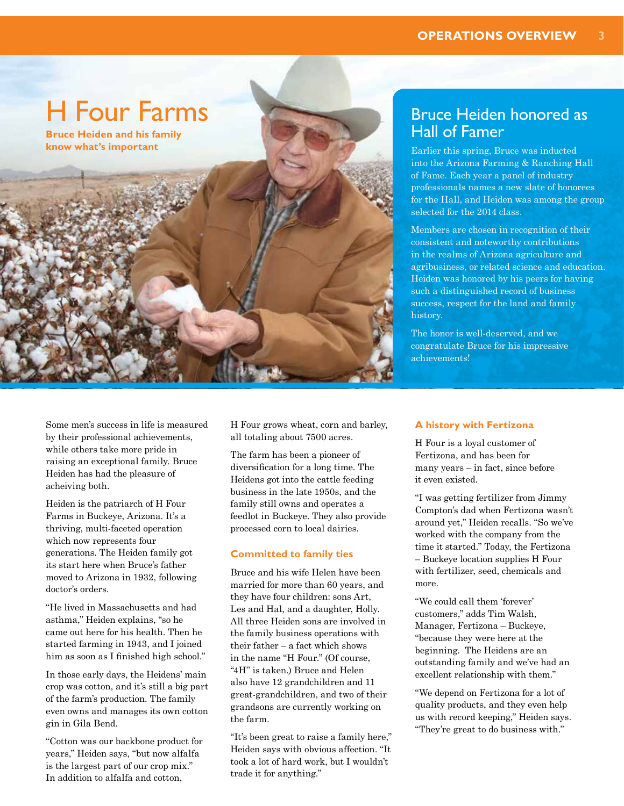# H Four Farms

**Bruce Heiden and his family know what's important** 

## Bruce Heiden honored as Hall of Famer

Earlier this spring, Bruce was inducted into the Arizona Farming & Ranching Hall of Fame. Each year a panel of industry professionals names a new slate of honorees for the Hall, and Heiden was among the group selected for the 2014 class.

Members are chosen in recognition of their consistent and noteworthy contributions in the realms of Arizona agriculture and agribusiness, or related science and education. Heiden was honored by his peers for having such a distinguished record of business success, respect for the land and family history.

The honor is well-deserved, and we congratulate Bruce for his impressive achievements!

Some men's success in life is measured by their professional achievements, while others take more pride in raising an exceptional family. Bruce Heiden has had the pleasure of acheiving both.

Heiden is the patriarch of H Four Farms in Buckeye, Arizona. It's a thriving, multi-faceted operation which now represents four generations. The Heiden family got its start here when Bruce's father moved to Arizona in 1932, following doctor's orders.

"He lived in Massachusetts and had asthma," Heiden explains, "so he came out here for his health. Then he started farming in 1943, and I joined him as soon as I finished high school."

In those early days, the Heidens' main crop was cotton, and it's still a big part of the farm's production. The family even owns and manages its own cotton gin in Gila Bend.

"Cotton was our backbone product for years," Heiden says, "but now alfalfa is the largest part of our crop mix." In addition to alfalfa and cotton,

H Four grows wheat, corn and barley, all totaling about 7500 acres.

The farm has been a pioneer of diversification for a long time. The Heidens got into the cattle feeding business in the late 1950s, and the family still owns and operates a feedlot in Buckeye. They also provide processed corn to local dairies.

### **Committed to family ties**

Bruce and his wife Helen have been married for more than 60 years, and they have four children: sons Art, Les and Hal, and a daughter, Holly. All three Heiden sons are involved in the family business operations with their father – a fact which shows in the name "H Four." (Of course, "4H" is taken.) Bruce and Helen also have 12 grandchildren and 11 great-grandchildren, and two of their grandsons are currently working on the farm.

"It's been great to raise a family here," Heiden says with obvious affection. "It took a lot of hard work, but I wouldn't trade it for anything."

### **A history with Fertizona**

H Four is a loyal customer of Fertizona, and has been for many years – in fact, since before it even existed.

"I was getting fertilizer from Jimmy Compton's dad when Fertizona wasn't around yet," Heiden recalls. "So we've worked with the company from the time it started." Today, the Fertizona – Buckeye location supplies H Four with fertilizer, seed, chemicals and more.

"We could call them 'forever' customers," adds Tim Walsh, Manager, Fertizona – Buckeye, "because they were here at the beginning. The Heidens are an outstanding family and we've had an excellent relationship with them."

"We depend on Fertizona for a lot of quality products, and they even help us with record keeping," Heiden says. "They're great to do business with."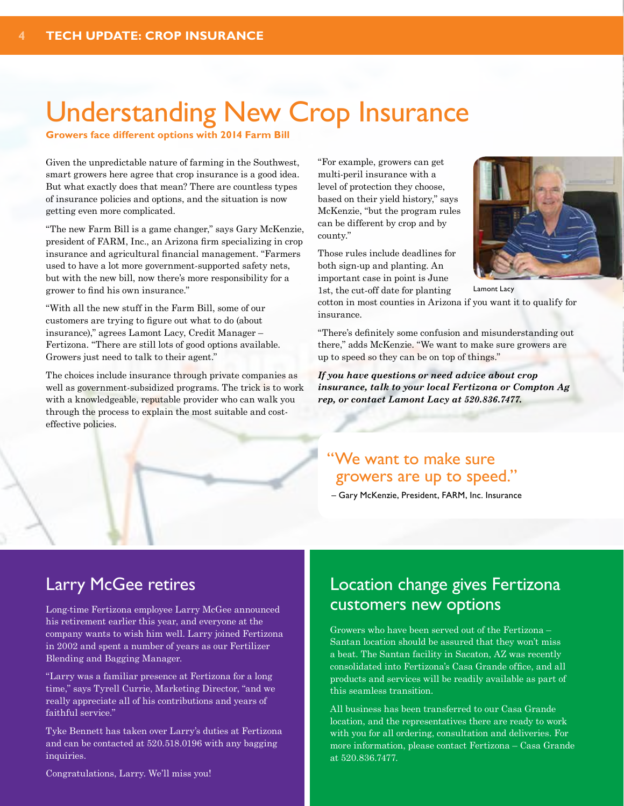# Understanding New Crop Insurance

**Growers face different options with 2014 Farm Bill**

Given the unpredictable nature of farming in the Southwest, smart growers here agree that crop insurance is a good idea. But what exactly does that mean? There are countless types of insurance policies and options, and the situation is now getting even more complicated.

"The new Farm Bill is a game changer," says Gary McKenzie, president of FARM, Inc., an Arizona firm specializing in crop insurance and agricultural financial management. "Farmers used to have a lot more government-supported safety nets, but with the new bill, now there's more responsibility for a grower to find his own insurance."

"With all the new stuff in the Farm Bill, some of our customers are trying to figure out what to do (about insurance)," agrees Lamont Lacy, Credit Manager – Fertizona. "There are still lots of good options available. Growers just need to talk to their agent."

The choices include insurance through private companies as well as government-subsidized programs. The trick is to work with a knowledgeable, reputable provider who can walk you through the process to explain the most suitable and costeffective policies.

"For example, growers can get multi-peril insurance with a level of protection they choose, based on their yield history," says McKenzie, "but the program rules can be different by crop and by county."

Those rules include deadlines for both sign-up and planting. An important case in point is June 1st, the cut-off date for planting

Lamont Lacy

cotton in most counties in Arizona if you want it to qualify for insurance.

"There's definitely some confusion and misunderstanding out there," adds McKenzie. "We want to make sure growers are up to speed so they can be on top of things."

*If you have questions or need advice about crop insurance, talk to your local Fertizona or Compton Ag rep, or contact Lamont Lacy at 520.836.7477.*

## "We want to make sure growers are up to speed."

– Gary McKenzie, President, FARM, Inc. Insurance

## Larry McGee retires

Long-time Fertizona employee Larry McGee announced his retirement earlier this year, and everyone at the company wants to wish him well. Larry joined Fertizona in 2002 and spent a number of years as our Fertilizer Blending and Bagging Manager.

"Larry was a familiar presence at Fertizona for a long time," says Tyrell Currie, Marketing Director, "and we really appreciate all of his contributions and years of faithful service."

Tyke Bennett has taken over Larry's duties at Fertizona and can be contacted at 520.518.0196 with any bagging inquiries.

Congratulations, Larry. We'll miss you!

## Location change gives Fertizona customers new options

Growers who have been served out of the Fertizona – Santan location should be assured that they won't miss a beat. The Santan facility in Sacaton, AZ was recently consolidated into Fertizona's Casa Grande office, and all products and services will be readily available as part of this seamless transition.

All business has been transferred to our Casa Grande location, and the representatives there are ready to work with you for all ordering, consultation and deliveries. For more information, please contact Fertizona – Casa Grande at 520.836.7477.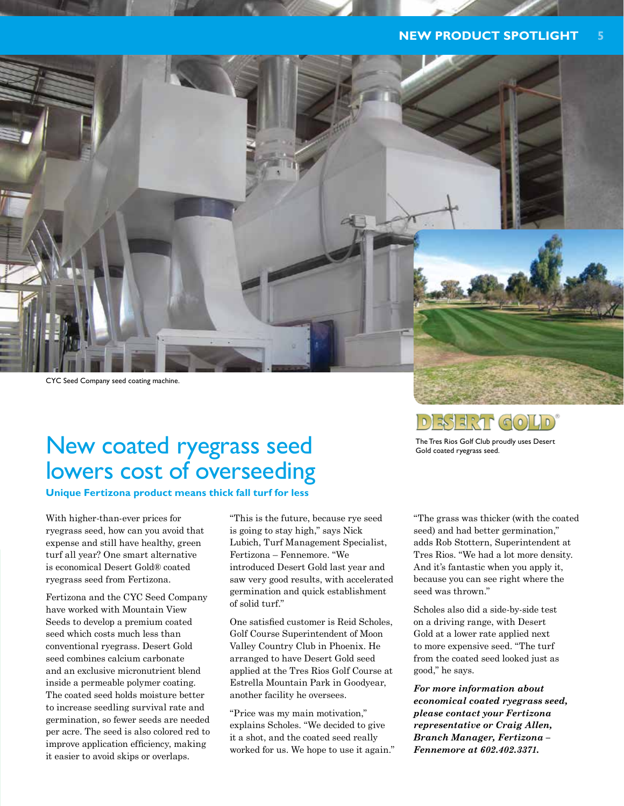### **NEW PRODUCT SPOTLIGHT 5**



## New coated ryegrass seed lowers cost of overseeding

**Unique Fertizona product means thick fall turf for less** 

With higher-than-ever prices for ryegrass seed, how can you avoid that expense and still have healthy, green turf all year? One smart alternative is economical Desert Gold® coated ryegrass seed from Fertizona.

Fertizona and the CYC Seed Company have worked with Mountain View Seeds to develop a premium coated seed which costs much less than conventional ryegrass. Desert Gold seed combines calcium carbonate and an exclusive micronutrient blend inside a permeable polymer coating. The coated seed holds moisture better to increase seedling survival rate and germination, so fewer seeds are needed per acre. The seed is also colored red to improve application efficiency, making it easier to avoid skips or overlaps.

"This is the future, because rye seed is going to stay high," says Nick Lubich, Turf Management Specialist, Fertizona – Fennemore. "We introduced Desert Gold last year and saw very good results, with accelerated germination and quick establishment of solid turf."

One satisfied customer is Reid Scholes, Golf Course Superintendent of Moon Valley Country Club in Phoenix. He arranged to have Desert Gold seed applied at the Tres Rios Golf Course at Estrella Mountain Park in Goodyear, another facility he oversees.

"Price was my main motivation," explains Scholes. "We decided to give it a shot, and the coated seed really worked for us. We hope to use it again." "The grass was thicker (with the coated seed) and had better germination," adds Rob Stottern, Superintendent at Tres Rios. "We had a lot more density. And it's fantastic when you apply it, because you can see right where the seed was thrown."

The Tres Rios Golf Club proudly uses Desert

 $(\mathbb{C}(0)|\mathsf{L}|0)$ 

akar

Gold coated ryegrass seed.

Scholes also did a side-by-side test on a driving range, with Desert Gold at a lower rate applied next to more expensive seed. "The turf from the coated seed looked just as good," he says.

*For more information about economical coated ryegrass seed, please contact your Fertizona representative or Craig Allen, Branch Manager, Fertizona – Fennemore at 602.402.3371.*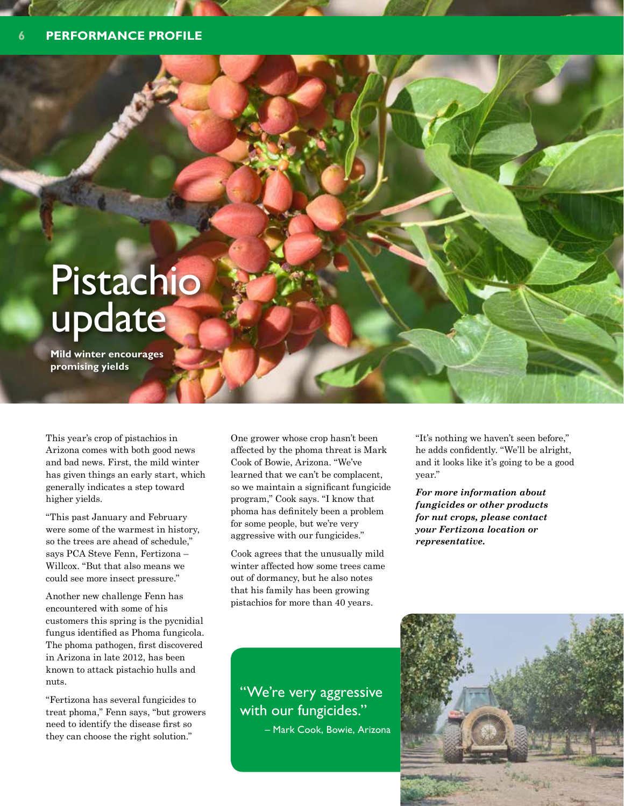# Pistachio update

**Mild winter encourages promising yields**

This year's crop of pistachios in Arizona comes with both good news and bad news. First, the mild winter has given things an early start, which generally indicates a step toward higher yields.

"This past January and February were some of the warmest in history, so the trees are ahead of schedule," says PCA Steve Fenn, Fertizona – Willcox. "But that also means we could see more insect pressure."

Another new challenge Fenn has encountered with some of his customers this spring is the pycnidial fungus identified as Phoma fungicola. The phoma pathogen, first discovered in Arizona in late 2012, has been known to attack pistachio hulls and nuts.

"Fertizona has several fungicides to treat phoma," Fenn says, "but growers need to identify the disease first so they can choose the right solution."

One grower whose crop hasn't been affected by the phoma threat is Mark Cook of Bowie, Arizona. "We've learned that we can't be complacent, so we maintain a significant fungicide program," Cook says. "I know that phoma has definitely been a problem for some people, but we're very aggressive with our fungicides."

Cook agrees that the unusually mild winter affected how some trees came out of dormancy, but he also notes that his family has been growing pistachios for more than 40 years.

"It's nothing we haven't seen before," he adds confidently. "We'll be alright, and it looks like it's going to be a good year."

*For more information about fungicides or other products for nut crops, please contact your Fertizona location or representative.*

"We're very aggressive with our fungicides."

– Mark Cook, Bowie, Arizona

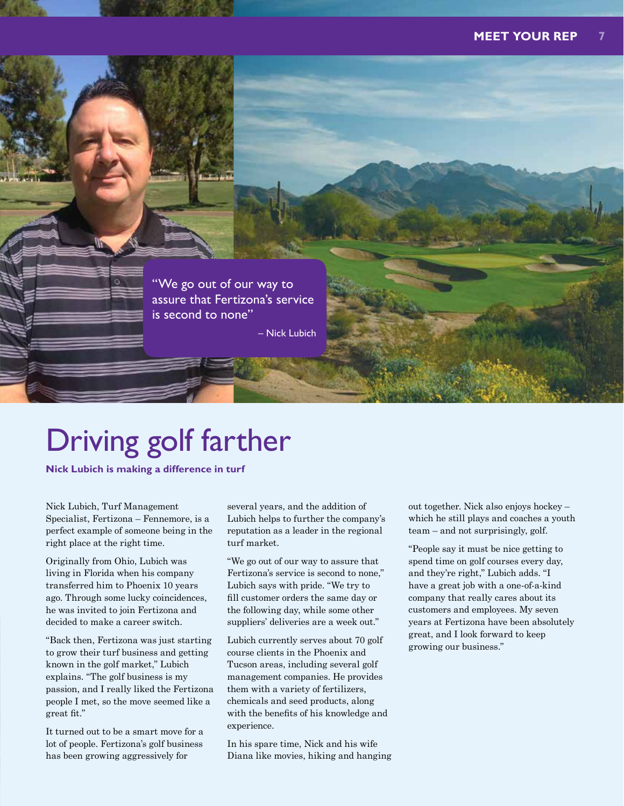

# Driving golf farther

**Nick Lubich is making a difference in turf**

Nick Lubich, Turf Management Specialist, Fertizona – Fennemore, is a perfect example of someone being in the right place at the right time.

Originally from Ohio, Lubich was living in Florida when his company transferred him to Phoenix 10 years ago. Through some lucky coincidences, he was invited to join Fertizona and decided to make a career switch.

"Back then, Fertizona was just starting to grow their turf business and getting known in the golf market," Lubich explains. "The golf business is my passion, and I really liked the Fertizona people I met, so the move seemed like a great fit."

It turned out to be a smart move for a lot of people. Fertizona's golf business has been growing aggressively for

several years, and the addition of Lubich helps to further the company's reputation as a leader in the regional turf market.

"We go out of our way to assure that Fertizona's service is second to none," Lubich says with pride. "We try to fill customer orders the same day or the following day, while some other suppliers' deliveries are a week out."

Lubich currently serves about 70 golf course clients in the Phoenix and Tucson areas, including several golf management companies. He provides them with a variety of fertilizers, chemicals and seed products, along with the benefits of his knowledge and experience.

In his spare time, Nick and his wife Diana like movies, hiking and hanging out together. Nick also enjoys hockey – which he still plays and coaches a youth team – and not surprisingly, golf.

"People say it must be nice getting to spend time on golf courses every day, and they're right," Lubich adds. "I have a great job with a one-of-a-kind company that really cares about its customers and employees. My seven years at Fertizona have been absolutely great, and I look forward to keep growing our business."